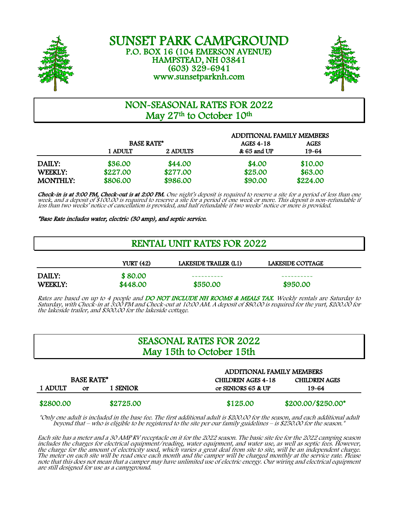



# NON-SEASONAL RATES FOR 2022 May 27<sup>th</sup> to October 10<sup>th</sup>

|                 | <b>ADDITIONAL FAMILY MEMBERS</b> |          |                  |          |  |
|-----------------|----------------------------------|----------|------------------|----------|--|
|                 | <b>BASE RATE*</b>                |          | <b>AGES 4-18</b> | AGES     |  |
|                 | 1 ADULT                          | 2 ADULTS | & 65 and UP      | 19-64    |  |
| DAILY:          | \$36.00                          | \$44.00  | \$4.00           | \$10.00  |  |
| WEEKLY:         | \$227.00                         | \$277.00 | \$25.00          | \$63.00  |  |
| <b>MONTHLY:</b> | \$806.00                         | \$986.00 | \$90.00          | \$224.00 |  |

Check-in is at 3:00 PM, Check-out is at 2:00 PM. One night's deposit is required to reserve a site for a period of less than one week, and a deposit of \$100.00 is required to reserve a site for a period of one week or more. This deposit is non-refundable if less than two weeks' notice of cancellation is provided, and half refundable if two weeks' notice or more is provided.

\*Base Rate includes water, electric (30 amp), and septic service.

| <b>RENTAL UNIT RATES FOR 2022</b> |                     |                       |                         |  |
|-----------------------------------|---------------------|-----------------------|-------------------------|--|
|                                   | <b>YURT (42)</b>    | LAKESIDE TRAILER (L1) | <b>LAKESIDE COTTAGE</b> |  |
| DAILY:<br>WEEKLY:                 | \$80.00<br>\$448.00 | \$550.00              | \$950.00                |  |

Rates are based on up to 4 people and **DO NOT INCLUDE NH ROOMS & MEALS TAX**. Weekly rentals are Saturday to Saturday, with Check-in at 3:00 PM and Check-out at 10:00 AM. A deposit of \$80.00 is required for the yurt, \$200.00 for the lakeside trailer, and \$300.00 for the lakeside cottage.

## SEASONAL RATES FOR 2022 May 15th to October 15th

|                   |    |           | <b>ADDITIONAL FAMILY MEMBERS</b> |                      |  |
|-------------------|----|-----------|----------------------------------|----------------------|--|
| <b>BASE RATE*</b> |    |           | <b>CHILDREN AGES 4-18</b>        | <b>CHILDREN AGES</b> |  |
| 1 ADULT           | or | 1 SENIOR  | or SENIORS 65 & UP               | 19-64                |  |
| \$2800.00         |    | \$2725.00 | \$125.00                         | \$200.00/\$250.00*   |  |

\*Only one adult is included in the base fee. The first additional adult is \$200.00 for the season, and each additional adult<br>\* beyond that – who is eligible to be registered to the site per our family guidelines – is \$250.

Each site has a meter and a 30 AMP RV receptacle on it for the 2022 season. The basic site fee for the 2022 camping season<br>includes the charges for electrical equipment/reading, water equipment, and water use, as well as s the charge for the amount of electricity used, which varies a great deal from site to site, will be an independent charge. The meter on each site will be read once each month and the camper will be charged monthly at the service rate. Please note that this does not mean that a camper may have unlimited use of electric energy. Our wiring and electrical equipment are still designed for use as a campground.